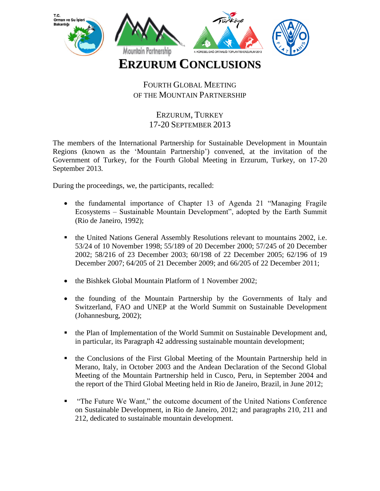

## FOURTH GLOBAL MEETING OF THE MOUNTAIN PARTNERSHIP

## ERZURUM, TURKEY 17-20 SEPTEMBER 2013

The members of the International Partnership for Sustainable Development in Mountain Regions (known as the 'Mountain Partnership') convened, at the invitation of the Government of Turkey, for the Fourth Global Meeting in Erzurum, Turkey, on 17-20 September 2013*.*

During the proceedings, we, the participants, recalled:

- the fundamental importance of Chapter 13 of Agenda 21 "Managing Fragile Ecosystems – Sustainable Mountain Development", adopted by the Earth Summit (Rio de Janeiro, 1992);
- the United Nations General Assembly Resolutions relevant to mountains 2002, i.e. 53/24 of 10 November 1998; 55/189 of 20 December 2000; 57/245 of 20 December 2002; 58/216 of 23 December 2003; 60/198 of 22 December 2005; 62/196 of 19 December 2007; 64/205 of 21 December 2009; and 66/205 of 22 December 2011;
- the Bishkek Global Mountain Platform of 1 November 2002;
- the founding of the Mountain Partnership by the Governments of Italy and Switzerland, FAO and UNEP at the World Summit on Sustainable Development (Johannesburg, 2002);
- the Plan of Implementation of the World Summit on Sustainable Development and, in particular, its Paragraph 42 addressing sustainable mountain development;
- the Conclusions of the First Global Meeting of the Mountain Partnership held in Merano, Italy, in October 2003 and the Andean Declaration of the Second Global Meeting of the Mountain Partnership held in Cusco, Peru, in September 2004 and the report of the Third Global Meeting held in Rio de Janeiro, Brazil, in June 2012;
- "The Future We Want," the outcome document of the United Nations Conference on Sustainable Development, in Rio de Janeiro, 2012; and paragraphs 210, 211 and 212, dedicated to sustainable mountain development.